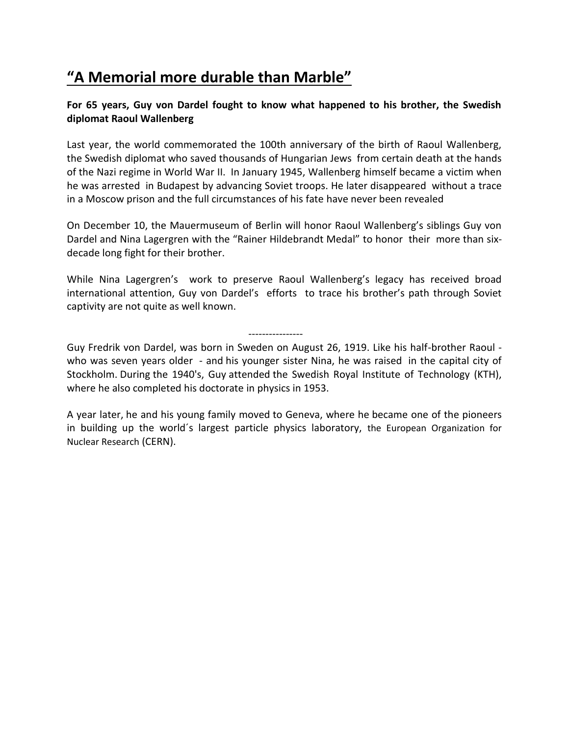## **"A Memorial more durable than Marble"**

## **For 65 years, Guy von Dardel fought to know what happened to his brother, the Swedish diplomat Raoul Wallenberg**

Last year, the world commemorated the 100th anniversary of the birth of Raoul Wallenberg, the Swedish diplomat who saved thousands of Hungarian Jews from certain death at the hands of the Nazi regime in World War II. In January 1945, Wallenberg himself became a victim when he was arrested in Budapest by advancing Soviet troops. He later disappeared without a trace in a Moscow prison and the full circumstances of his fate have never been revealed

On December 10, the Mauermuseum of Berlin will honor Raoul Wallenberg's siblings Guy von Dardel and Nina Lagergren with the "Rainer Hildebrandt Medal" to honor their more than sixdecade long fight for their brother.

While Nina Lagergren's work to preserve Raoul Wallenberg's legacy has received broad international attention, Guy von Dardel's efforts to trace his brother's path through Soviet captivity are not quite as well known.

----------------

Guy Fredrik von Dardel, was born in Sweden on August 26, 1919. Like his half-brother Raoul who was seven years older - and his younger sister Nina, he was raised in the capital city of Stockholm. During the 1940's, Guy attended the Swedish Royal Institute of Technology (KTH), where he also completed his doctorate in physics in 1953.

A year later, he and his young family moved to Geneva, where he became one of the pioneers in building up the world´s largest particle physics laboratory, the European Organization for Nuclear Research (CERN).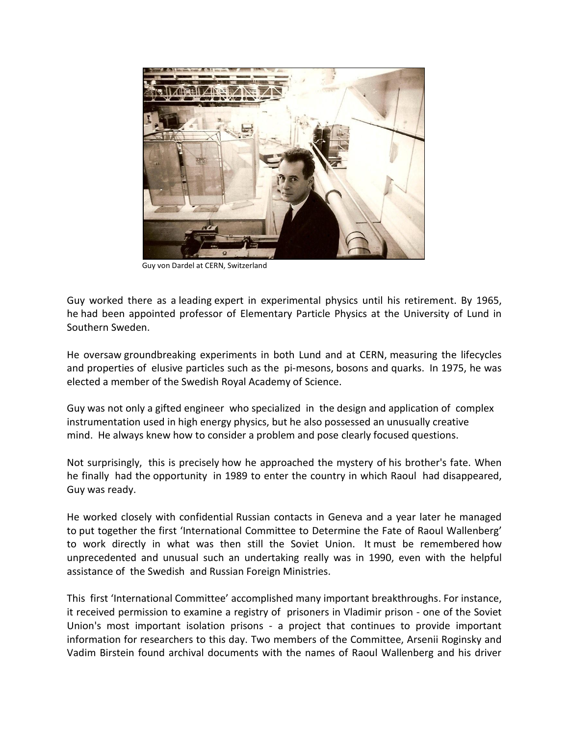

Guy von Dardel at CERN, Switzerland

Guy worked there as a leading expert in experimental physics until his retirement. By 1965, he had been appointed professor of Elementary Particle Physics at the University of Lund in Southern Sweden.

He oversaw groundbreaking experiments in both Lund and at CERN, measuring the lifecycles and properties of elusive particles such as the pi-mesons, bosons and quarks. In 1975, he was elected a member of the Swedish Royal Academy of Science.

Guy was not only a gifted engineer who specialized in the design and application of complex instrumentation used in high energy physics, but he also possessed an unusually creative mind. He always knew how to consider a problem and pose clearly focused questions.

Not surprisingly, this is precisely how he approached the mystery of his brother's fate. When he finally had the opportunity in 1989 to enter the country in which Raoul had disappeared, Guy was ready.

He worked closely with confidential Russian contacts in Geneva and a year later he managed to put together the first 'International Committee to Determine the Fate of Raoul Wallenberg' to work directly in what was then still the Soviet Union. It must be remembered how unprecedented and unusual such an undertaking really was in 1990, even with the helpful assistance of the Swedish and Russian Foreign Ministries.

This first 'International Committee' accomplished many important breakthroughs. For instance, it received permission to examine a registry of prisoners in Vladimir prison - one of the Soviet Union's most important isolation prisons - a project that continues to provide important information for researchers to this day. Two members of the Committee, Arsenii Roginsky and Vadim Birstein found archival documents with the names of Raoul Wallenberg and his driver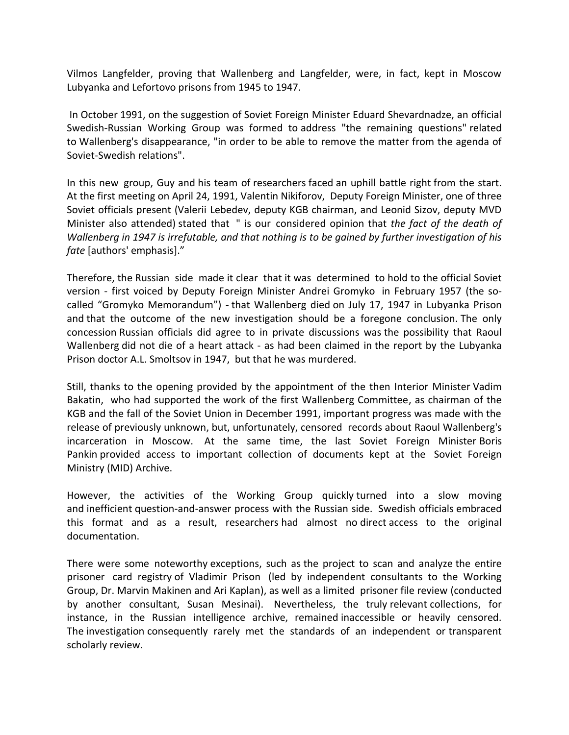Vilmos Langfelder, proving that Wallenberg and Langfelder, were, in fact, kept in Moscow Lubyanka and Lefortovo prisons from 1945 to 1947.

In October 1991, on the suggestion of Soviet Foreign Minister Eduard Shevardnadze, an official Swedish-Russian Working Group was formed to address "the remaining questions" related to Wallenberg's disappearance, "in order to be able to remove the matter from the agenda of Soviet-Swedish relations".

In this new group, Guy and his team of researchers faced an uphill battle right from the start. At the first meeting on April 24, 1991, Valentin Nikiforov, Deputy Foreign Minister, one of three Soviet officials present (Valerii Lebedev, deputy KGB chairman, and Leonid Sizov, deputy MVD Minister also attended) stated that " is our considered opinion that *the fact of the death of Wallenberg in 1947 is irrefutable, and that nothing is to be gained by further investigation of his fate* [authors' emphasis]."

Therefore, the Russian side made it clear that it was determined to hold to the official Soviet version - first voiced by Deputy Foreign Minister Andrei Gromyko in February 1957 (the socalled "Gromyko Memorandum") - that Wallenberg died on July 17, 1947 in Lubyanka Prison and that the outcome of the new investigation should be a foregone conclusion. The only concession Russian officials did agree to in private discussions was the possibility that Raoul Wallenberg did not die of a heart attack - as had been claimed in the report by the Lubyanka Prison doctor A.L. Smoltsov in 1947, but that he was murdered.

Still, thanks to the opening provided by the appointment of the then Interior Minister Vadim Bakatin, who had supported the work of the first Wallenberg Committee, as chairman of the KGB and the fall of the Soviet Union in December 1991, important progress was made with the release of previously unknown, but, unfortunately, censored records about Raoul Wallenberg's incarceration in Moscow. At the same time, the last Soviet Foreign Minister Boris Pankin provided access to important collection of documents kept at the Soviet Foreign Ministry (MID) Archive.

However, the activities of the Working Group quickly turned into a slow moving and inefficient question-and-answer process with the Russian side. Swedish officials embraced this format and as a result, researchers had almost no direct access to the original documentation.

There were some noteworthy exceptions, such as the project to scan and analyze the entire prisoner card registry of Vladimir Prison (led by independent consultants to the Working Group, Dr. Marvin Makinen and Ari Kaplan), as well as a limited prisoner file review (conducted by another consultant, Susan Mesinai). Nevertheless, the truly relevant collections, for instance, in the Russian intelligence archive, remained inaccessible or heavily censored. The investigation consequently rarely met the standards of an independent or transparent scholarly review.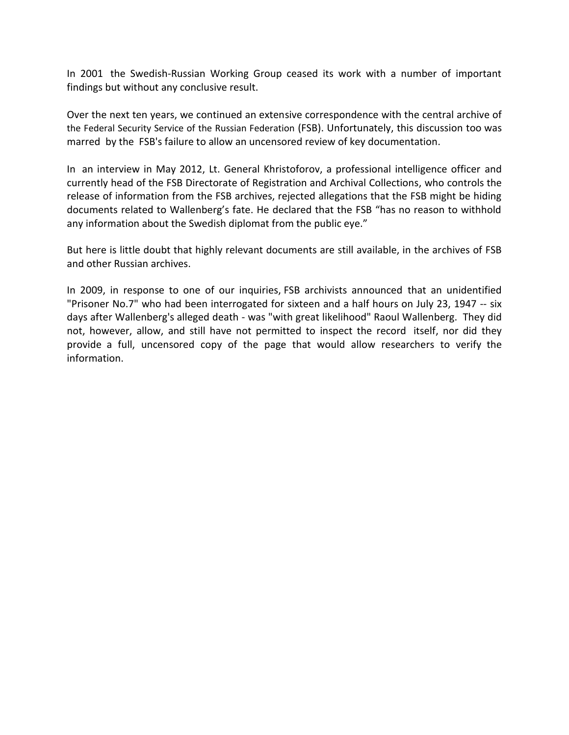In 2001 the Swedish-Russian Working Group ceased its work with a number of important findings but without any conclusive result.

Over the next ten years, we continued an extensive correspondence with the central archive of the Federal Security Service of the Russian Federation (FSB). Unfortunately, this discussion too was marred by the FSB's failure to allow an uncensored review of key documentation.

In an interview in May 2012, Lt. General Khristoforov, a professional intelligence officer and currently head of the FSB Directorate of Registration and Archival Collections, who controls the release of information from the FSB archives, rejected allegations that the FSB might be hiding documents related to Wallenberg's fate. He declared that the FSB "has no reason to withhold any information about the Swedish diplomat from the public eye."

But here is little doubt that highly relevant documents are still available, in the archives of FSB and other Russian archives.

In 2009, in response to one of our inquiries, FSB archivists announced that an unidentified "Prisoner No.7" who had been interrogated for sixteen and a half hours on July 23, 1947 -- six days after Wallenberg's alleged death - was "with great likelihood" Raoul Wallenberg. They did not, however, allow, and still have not permitted to inspect the record itself, nor did they provide a full, uncensored copy of the page that would allow researchers to verify the information.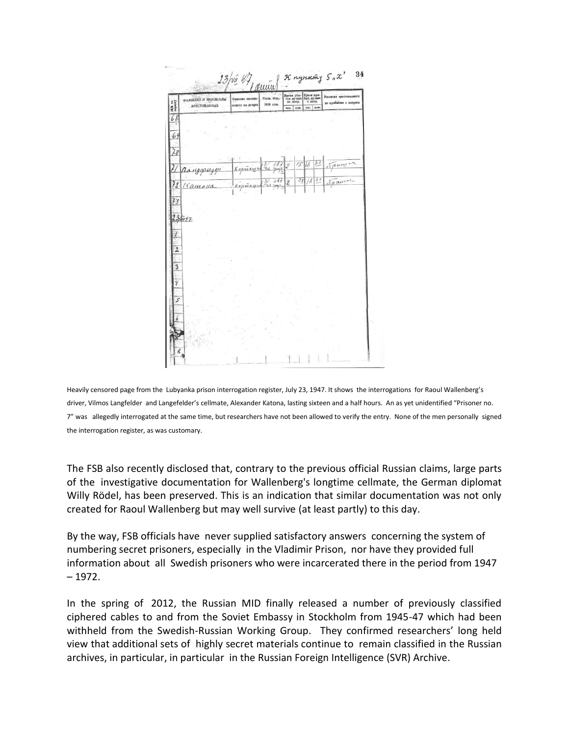

Heavily censored page from the Lubyanka prison interrogation register, July 23, 1947. It shows the interrogations for Raoul Wallenberg's driver, Vilmos Langfelder and Langefelder's cellmate, Alexander Katona, lasting sixteen and a half hours. An as yet unidentified "Prisoner no. 7" was allegedly interrogated at the same time, but researchers have not been allowed to verify the entry. None of the men personally signed the interrogation register, as was customary.

The FSB also recently disclosed that, contrary to the previous official Russian claims, large parts of the investigative documentation for Wallenberg's longtime cellmate, the German diplomat Willy Rödel, has been preserved. This is an indication that similar documentation was not only created for Raoul Wallenberg but may well survive (at least partly) to this day.

By the way, FSB officials have never supplied satisfactory answers concerning the system of numbering secret prisoners, especially in the Vladimir Prison, nor have they provided full information about all Swedish prisoners who were incarcerated there in the period from 1947 – 1972.

In the spring of 2012, the Russian MID finally released a number of previously classified ciphered cables to and from the Soviet Embassy in Stockholm from 1945-47 which had been withheld from the Swedish-Russian Working Group. They confirmed researchers' long held view that additional sets of highly secret materials continue to remain classified in the Russian archives, in particular, in particular in the Russian Foreign Intelligence (SVR) Archive.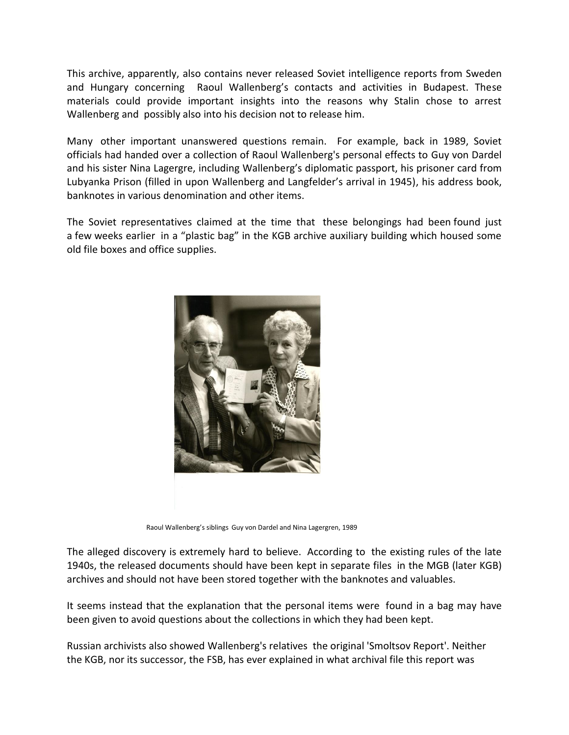This archive, apparently, also contains never released Soviet intelligence reports from Sweden and Hungary concerning Raoul Wallenberg's contacts and activities in Budapest. These materials could provide important insights into the reasons why Stalin chose to arrest Wallenberg and possibly also into his decision not to release him.

Many other important unanswered questions remain. For example, back in 1989, Soviet officials had handed over a collection of Raoul Wallenberg's personal effects to Guy von Dardel and his sister Nina Lagergre, including Wallenberg's diplomatic passport, his prisoner card from Lubyanka Prison (filled in upon Wallenberg and Langfelder's arrival in 1945), his address book, banknotes in various denomination and other items.

The Soviet representatives claimed at the time that these belongings had been found just a few weeks earlier in a "plastic bag" in the KGB archive auxiliary building which housed some old file boxes and office supplies.



Raoul Wallenberg's siblings Guy von Dardel and Nina Lagergren, 1989

The alleged discovery is extremely hard to believe. According to the existing rules of the late 1940s, the released documents should have been kept in separate files in the MGB (later KGB) archives and should not have been stored together with the banknotes and valuables.

It seems instead that the explanation that the personal items were found in a bag may have been given to avoid questions about the collections in which they had been kept.

Russian archivists also showed Wallenberg's relatives the original 'Smoltsov Report'. Neither the KGB, nor its successor, the FSB, has ever explained in what archival file this report was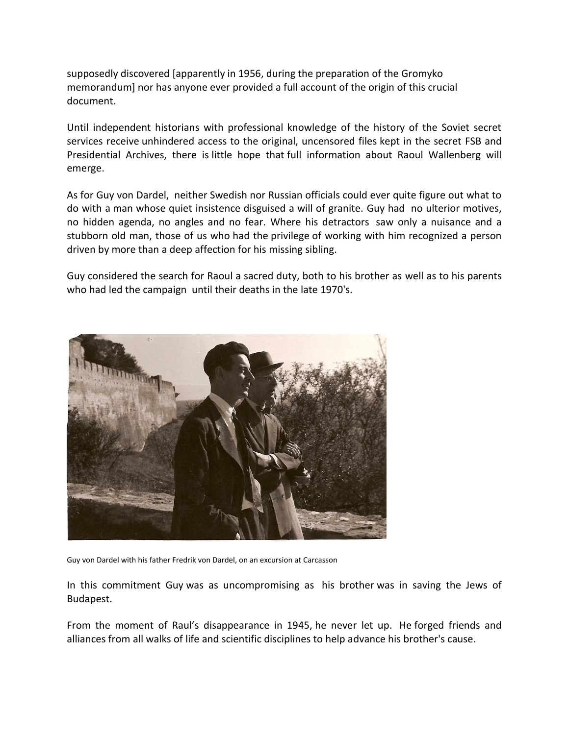supposedly discovered [apparently in 1956, during the preparation of the Gromyko memorandum] nor has anyone ever provided a full account of the origin of this crucial document.

Until independent historians with professional knowledge of the history of the Soviet secret services receive unhindered access to the original, uncensored files kept in the secret FSB and Presidential Archives, there is little hope that full information about Raoul Wallenberg will emerge.

As for Guy von Dardel, neither Swedish nor Russian officials could ever quite figure out what to do with a man whose quiet insistence disguised a will of granite. Guy had no ulterior motives, no hidden agenda, no angles and no fear. Where his detractors saw only a nuisance and a stubborn old man, those of us who had the privilege of working with him recognized a person driven by more than a deep affection for his missing sibling.

Guy considered the search for Raoul a sacred duty, both to his brother as well as to his parents who had led the campaign until their deaths in the late 1970's.



Guy von Dardel with his father Fredrik von Dardel, on an excursion at Carcasson

In this commitment Guy was as uncompromising as his brother was in saving the Jews of Budapest.

From the moment of Raul's disappearance in 1945, he never let up. He forged friends and alliances from all walks of life and scientific disciplines to help advance his brother's cause.